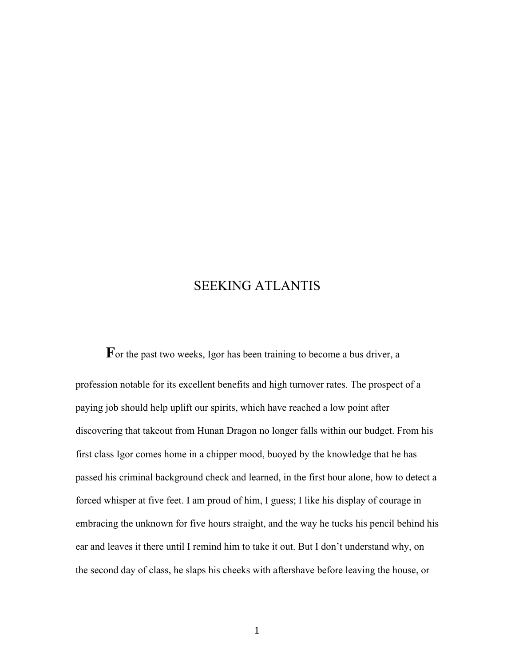## SEEKING ATLANTIS

For the past two weeks, Igor has been training to become a bus driver, a profession notable for its excellent benefits and high turnover rates. The prospect of a paying job should help uplift our spirits, which have reached a low point after discovering that takeout from Hunan Dragon no longer falls within our budget. From his first class Igor comes home in a chipper mood, buoyed by the knowledge that he has passed his criminal background check and learned, in the first hour alone, how to detect a forced whisper at five feet. I am proud of him, I guess; I like his display of courage in embracing the unknown for five hours straight, and the way he tucks his pencil behind his ear and leaves it there until I remind him to take it out. But I don't understand why, on the second day of class, he slaps his cheeks with aftershave before leaving the house, or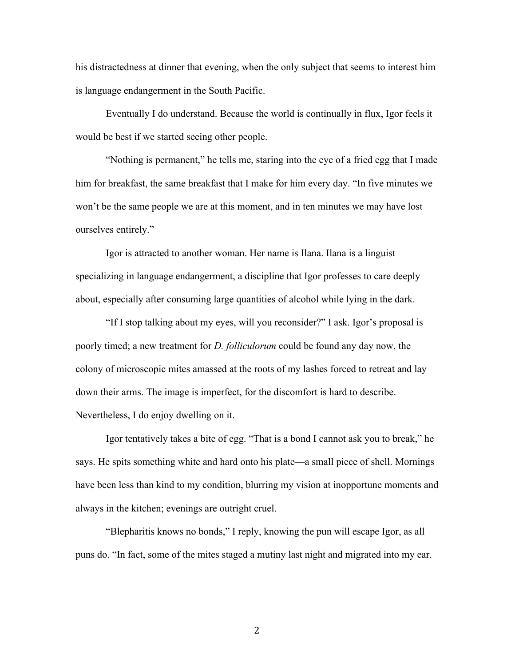his distractedness at dinner that evening, when the only subject that seems to interest him is language endangerment in the South Pacific.

Eventually I do understand. Because the world is continually in flux, Igor feels it would be best if we started seeing other people.

"Nothing is permanent," he tells me, staring into the eye of a fried egg that I made him for breakfast, the same breakfast that I make for him every day. "In five minutes we won't be the same people we are at this moment, and in ten minutes we may have lost ourselves entirely."

Igor is attracted to another woman. Her name is Ilana. Ilana is a linguist specializing in language endangerment, a discipline that Igor professes to care deeply about, especially after consuming large quantities of alcohol while lying in the dark.

"If I stop talking about my eyes, will you reconsider?" I ask. Igor's proposal is poorly timed; a new treatment for *D. folliculorum* could be found any day now, the colony of microscopic mites amassed at the roots of my lashes forced to retreat and lay down their arms. The image is imperfect, for the discomfort is hard to describe. Nevertheless, I do enjoy dwelling on it.

 Igor tentatively takes a bite of egg. "That is a bond I cannot ask you to break," he says. He spits something white and hard onto his plate—a small piece of shell. Mornings have been less than kind to my condition, blurring my vision at inopportune moments and always in the kitchen; evenings are outright cruel.

"Blepharitis knows no bonds," I reply, knowing the pun will escape Igor, as all puns do. "In fact, some of the mites staged a mutiny last night and migrated into my ear.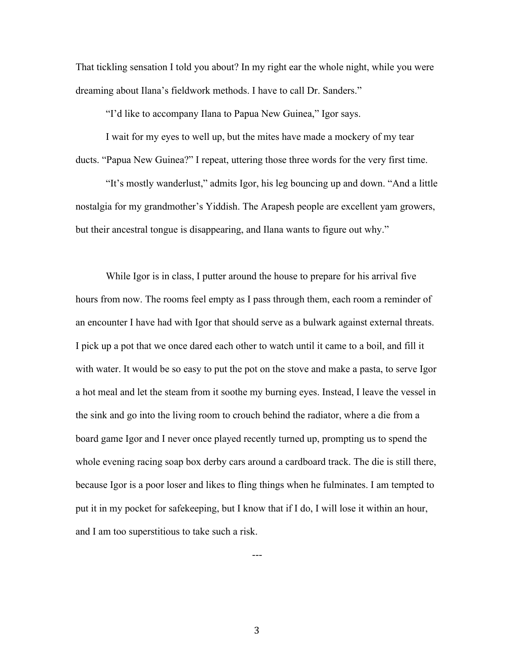That tickling sensation I told you about? In my right ear the whole night, while you were dreaming about Ilana's fieldwork methods. I have to call Dr. Sanders."

"I'd like to accompany Ilana to Papua New Guinea," Igor says.

I wait for my eyes to well up, but the mites have made a mockery of my tear ducts. "Papua New Guinea?" I repeat, uttering those three words for the very first time.

"It's mostly wanderlust," admits Igor, his leg bouncing up and down. "And a little nostalgia for my grandmother's Yiddish. The Arapesh people are excellent yam growers, but their ancestral tongue is disappearing, and Ilana wants to figure out why."

While Igor is in class, I putter around the house to prepare for his arrival five hours from now. The rooms feel empty as I pass through them, each room a reminder of an encounter I have had with Igor that should serve as a bulwark against external threats. I pick up a pot that we once dared each other to watch until it came to a boil, and fill it with water. It would be so easy to put the pot on the stove and make a pasta, to serve Igor a hot meal and let the steam from it soothe my burning eyes. Instead, I leave the vessel in the sink and go into the living room to crouch behind the radiator, where a die from a board game Igor and I never once played recently turned up, prompting us to spend the whole evening racing soap box derby cars around a cardboard track. The die is still there, because Igor is a poor loser and likes to fling things when he fulminates. I am tempted to put it in my pocket for safekeeping, but I know that if I do, I will lose it within an hour, and I am too superstitious to take such a risk.

3

---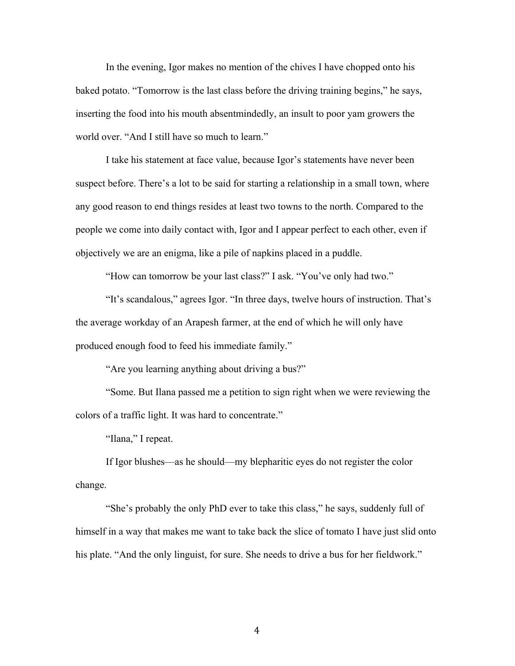In the evening, Igor makes no mention of the chives I have chopped onto his baked potato. "Tomorrow is the last class before the driving training begins," he says, inserting the food into his mouth absentmindedly, an insult to poor yam growers the world over. "And I still have so much to learn."

I take his statement at face value, because Igor's statements have never been suspect before. There's a lot to be said for starting a relationship in a small town, where any good reason to end things resides at least two towns to the north. Compared to the people we come into daily contact with, Igor and I appear perfect to each other, even if objectively we are an enigma, like a pile of napkins placed in a puddle.

"How can tomorrow be your last class?" I ask. "You've only had two."

"It's scandalous," agrees Igor. "In three days, twelve hours of instruction. That's the average workday of an Arapesh farmer, at the end of which he will only have produced enough food to feed his immediate family."

"Are you learning anything about driving a bus?"

"Some. But Ilana passed me a petition to sign right when we were reviewing the colors of a traffic light. It was hard to concentrate."

"Ilana," I repeat.

If Igor blushes—as he should—my blepharitic eyes do not register the color change.

"She's probably the only PhD ever to take this class," he says, suddenly full of himself in a way that makes me want to take back the slice of tomato I have just slid onto his plate. "And the only linguist, for sure. She needs to drive a bus for her fieldwork."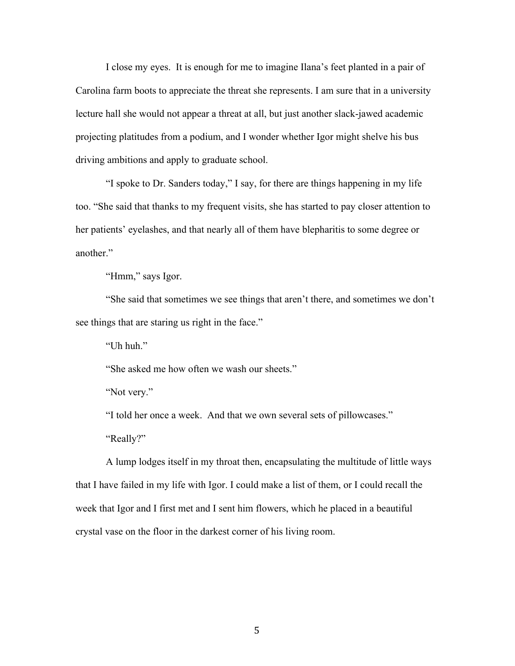I close my eyes. It is enough for me to imagine Ilana's feet planted in a pair of Carolina farm boots to appreciate the threat she represents. I am sure that in a university lecture hall she would not appear a threat at all, but just another slack-jawed academic projecting platitudes from a podium, and I wonder whether Igor might shelve his bus driving ambitions and apply to graduate school.

"I spoke to Dr. Sanders today," I say, for there are things happening in my life too. "She said that thanks to my frequent visits, she has started to pay closer attention to her patients' eyelashes, and that nearly all of them have blepharitis to some degree or another."

"Hmm," says Igor.

"She said that sometimes we see things that aren't there, and sometimes we don't see things that are staring us right in the face."

"Uh huh."

"She asked me how often we wash our sheets."

"Not very."

"I told her once a week. And that we own several sets of pillowcases."

"Really?"

A lump lodges itself in my throat then, encapsulating the multitude of little ways that I have failed in my life with Igor. I could make a list of them, or I could recall the week that Igor and I first met and I sent him flowers, which he placed in a beautiful crystal vase on the floor in the darkest corner of his living room.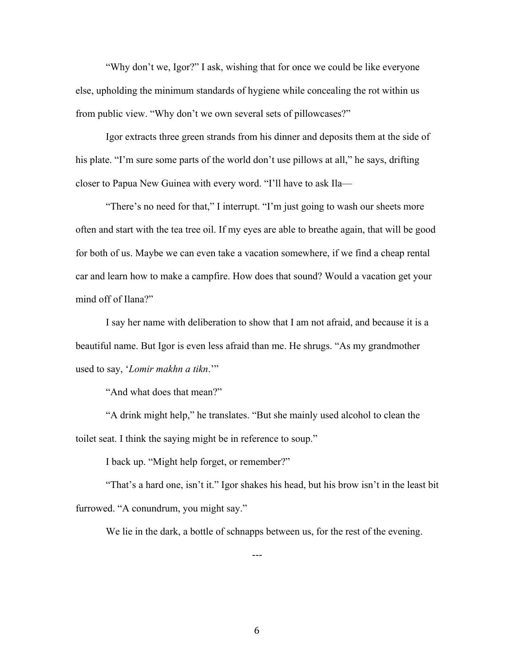"Why don't we, Igor?" I ask, wishing that for once we could be like everyone else, upholding the minimum standards of hygiene while concealing the rot within us from public view. "Why don't we own several sets of pillowcases?"

Igor extracts three green strands from his dinner and deposits them at the side of his plate. "I'm sure some parts of the world don't use pillows at all," he says, drifting closer to Papua New Guinea with every word. "I'll have to ask Ila—

"There's no need for that," I interrupt. "I'm just going to wash our sheets more often and start with the tea tree oil. If my eyes are able to breathe again, that will be good for both of us. Maybe we can even take a vacation somewhere, if we find a cheap rental car and learn how to make a campfire. How does that sound? Would a vacation get your mind off of Ilana?"

I say her name with deliberation to show that I am not afraid, and because it is a beautiful name. But Igor is even less afraid than me. He shrugs. "As my grandmother used to say, '*Lomir makhn a tikn*.'"

"And what does that mean?"

"A drink might help," he translates. "But she mainly used alcohol to clean the toilet seat. I think the saying might be in reference to soup."

I back up. "Might help forget, or remember?"

"That's a hard one, isn't it." Igor shakes his head, but his brow isn't in the least bit furrowed. "A conundrum, you might say."

---

We lie in the dark, a bottle of schnapps between us, for the rest of the evening.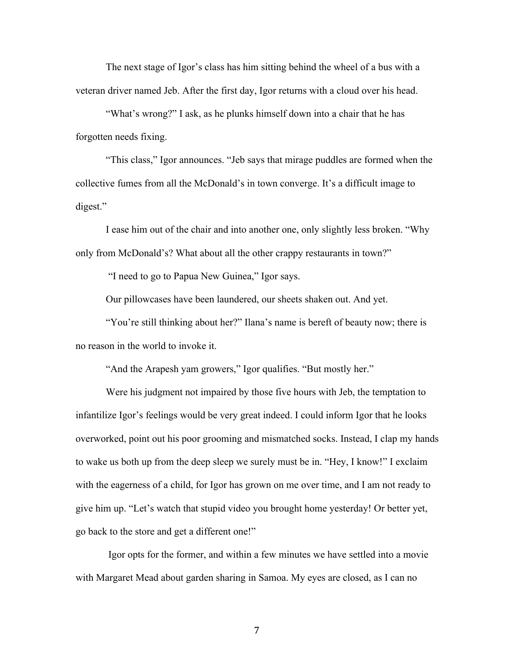The next stage of Igor's class has him sitting behind the wheel of a bus with a veteran driver named Jeb. After the first day, Igor returns with a cloud over his head.

"What's wrong?" I ask, as he plunks himself down into a chair that he has forgotten needs fixing.

"This class," Igor announces. "Jeb says that mirage puddles are formed when the collective fumes from all the McDonald's in town converge. It's a difficult image to digest."

I ease him out of the chair and into another one, only slightly less broken. "Why only from McDonald's? What about all the other crappy restaurants in town?"

"I need to go to Papua New Guinea," Igor says.

Our pillowcases have been laundered, our sheets shaken out. And yet.

"You're still thinking about her?" Ilana's name is bereft of beauty now; there is no reason in the world to invoke it.

"And the Arapesh yam growers," Igor qualifies. "But mostly her."

Were his judgment not impaired by those five hours with Jeb, the temptation to infantilize Igor's feelings would be very great indeed. I could inform Igor that he looks overworked, point out his poor grooming and mismatched socks. Instead, I clap my hands to wake us both up from the deep sleep we surely must be in. "Hey, I know!" I exclaim with the eagerness of a child, for Igor has grown on me over time, and I am not ready to give him up. "Let's watch that stupid video you brought home yesterday! Or better yet, go back to the store and get a different one!"

Igor opts for the former, and within a few minutes we have settled into a movie with Margaret Mead about garden sharing in Samoa. My eyes are closed, as I can no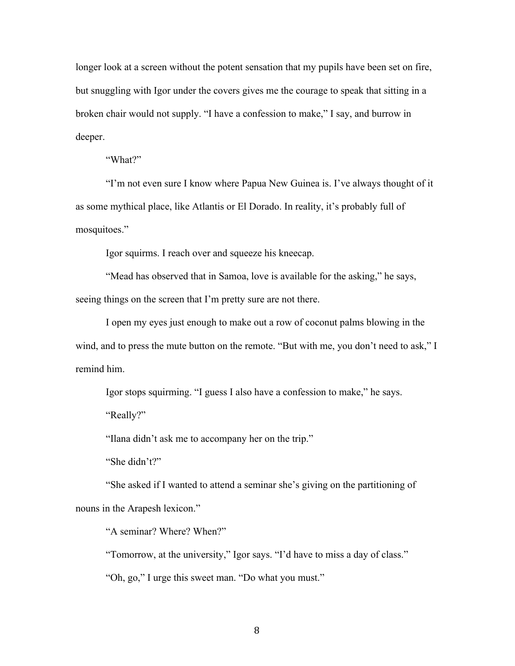longer look at a screen without the potent sensation that my pupils have been set on fire, but snuggling with Igor under the covers gives me the courage to speak that sitting in a broken chair would not supply. "I have a confession to make," I say, and burrow in deeper.

"What?"

"I'm not even sure I know where Papua New Guinea is. I've always thought of it as some mythical place, like Atlantis or El Dorado. In reality, it's probably full of mosquitoes."

Igor squirms. I reach over and squeeze his kneecap.

"Mead has observed that in Samoa, love is available for the asking," he says, seeing things on the screen that I'm pretty sure are not there.

I open my eyes just enough to make out a row of coconut palms blowing in the wind, and to press the mute button on the remote. "But with me, you don't need to ask," I remind him.

Igor stops squirming. "I guess I also have a confession to make," he says.

"Really?"

"Ilana didn't ask me to accompany her on the trip."

"She didn't?"

"She asked if I wanted to attend a seminar she's giving on the partitioning of nouns in the Arapesh lexicon."

"A seminar? Where? When?"

"Tomorrow, at the university," Igor says. "I'd have to miss a day of class." "Oh, go," I urge this sweet man. "Do what you must."